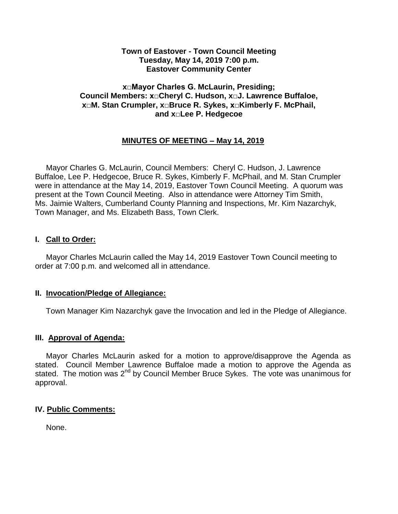### **Town of Eastover - Town Council Meeting Tuesday, May 14, 2019 7:00 p.m. Eastover Community Center**

### **x□Mayor Charles G. McLaurin, Presiding; Council Members: x□Cheryl C. Hudson, x□J. Lawrence Buffaloe, x□M. Stan Crumpler, x□Bruce R. Sykes, x□Kimberly F. McPhail, and x□Lee P. Hedgecoe**

# **MINUTES OF MEETING – May 14, 2019**

 Mayor Charles G. McLaurin, Council Members: Cheryl C. Hudson, J. Lawrence Buffaloe, Lee P. Hedgecoe, Bruce R. Sykes, Kimberly F. McPhail, and M. Stan Crumpler were in attendance at the May 14, 2019, Eastover Town Council Meeting. A quorum was present at the Town Council Meeting. Also in attendance were Attorney Tim Smith, Ms. Jaimie Walters, Cumberland County Planning and Inspections, Mr. Kim Nazarchyk, Town Manager, and Ms. Elizabeth Bass, Town Clerk.

## **I. Call to Order:**

 Mayor Charles McLaurin called the May 14, 2019 Eastover Town Council meeting to order at 7:00 p.m. and welcomed all in attendance.

## **II. Invocation/Pledge of Allegiance:**

Town Manager Kim Nazarchyk gave the Invocation and led in the Pledge of Allegiance.

## **III. Approval of Agenda:**

 Mayor Charles McLaurin asked for a motion to approve/disapprove the Agenda as stated. Council Member Lawrence Buffaloe made a motion to approve the Agenda as stated. The motion was 2<sup>nd</sup> by Council Member Bruce Sykes. The vote was unanimous for approval.

## **IV. Public Comments:**

None.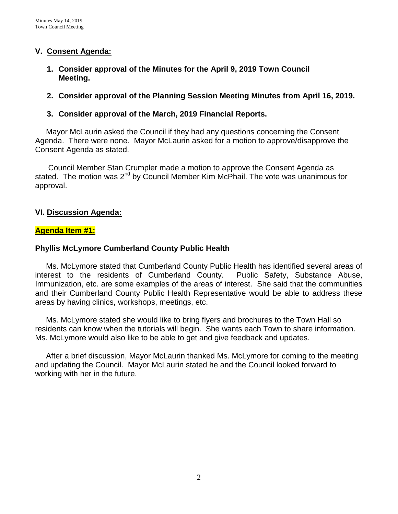# **V. Consent Agenda:**

**1. Consider approval of the Minutes for the April 9, 2019 Town Council Meeting.** 

# **2. Consider approval of the Planning Session Meeting Minutes from April 16, 2019.**

# **3. Consider approval of the March, 2019 Financial Reports.**

 Mayor McLaurin asked the Council if they had any questions concerning the Consent Agenda. There were none. Mayor McLaurin asked for a motion to approve/disapprove the Consent Agenda as stated.

 Council Member Stan Crumpler made a motion to approve the Consent Agenda as stated. The motion was 2<sup>nd</sup> by Council Member Kim McPhail. The vote was unanimous for approval.

## **VI. Discussion Agenda:**

## **Agenda Item #1:**

## **Phyllis McLymore Cumberland County Public Health**

 Ms. McLymore stated that Cumberland County Public Health has identified several areas of interest to the residents of Cumberland County. Public Safety, Substance Abuse, Immunization, etc. are some examples of the areas of interest. She said that the communities and their Cumberland County Public Health Representative would be able to address these areas by having clinics, workshops, meetings, etc.

Ms. McLymore stated she would like to bring flyers and brochures to the Town Hall so residents can know when the tutorials will begin. She wants each Town to share information. Ms. McLymore would also like to be able to get and give feedback and updates.

 After a brief discussion, Mayor McLaurin thanked Ms. McLymore for coming to the meeting and updating the Council. Mayor McLaurin stated he and the Council looked forward to working with her in the future.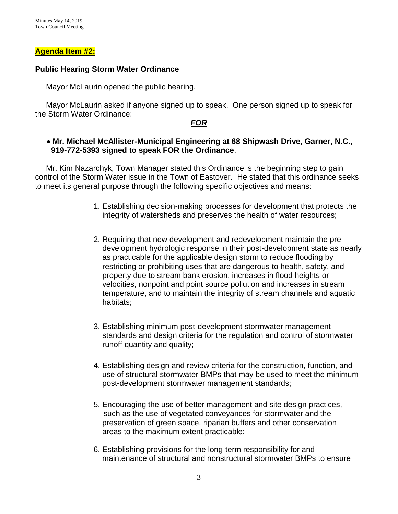### **Agenda Item #2:**

### **Public Hearing Storm Water Ordinance**

Mayor McLaurin opened the public hearing.

 Mayor McLaurin asked if anyone signed up to speak. One person signed up to speak for the Storm Water Ordinance:

### *FOR*

### **Mr. Michael McAllister-Municipal Engineering at 68 Shipwash Drive, Garner, N.C., 919-772-5393 signed to speak FOR the Ordinance**.

 Mr. Kim Nazarchyk, Town Manager stated this Ordinance is the beginning step to gain control of the Storm Water issue in the Town of Eastover. He stated that this ordinance seeks to meet its general purpose through the following specific objectives and means:

- 1. Establishing decision-making processes for development that protects the integrity of watersheds and preserves the health of water resources;
- 2. Requiring that new development and redevelopment maintain the predevelopment hydrologic response in their post-development state as nearly as practicable for the applicable design storm to reduce flooding by restricting or prohibiting uses that are dangerous to health, safety, and property due to stream bank erosion, increases in flood heights or velocities, nonpoint and point source pollution and increases in stream temperature, and to maintain the integrity of stream channels and aquatic habitats;
- 3. Establishing minimum post-development stormwater management standards and design criteria for the regulation and control of stormwater runoff quantity and quality;
- 4. Establishing design and review criteria for the construction, function, and use of structural stormwater BMPs that may be used to meet the minimum post-development stormwater management standards;
- 5. Encouraging the use of better management and site design practices, such as the use of vegetated conveyances for stormwater and the preservation of green space, riparian buffers and other conservation areas to the maximum extent practicable;
- 6. Establishing provisions for the long-term responsibility for and maintenance of structural and nonstructural stormwater BMPs to ensure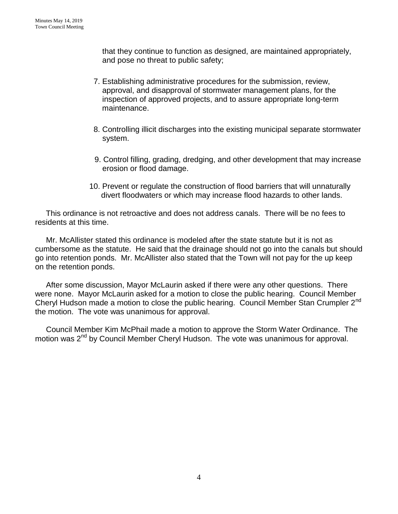that they continue to function as designed, are maintained appropriately, and pose no threat to public safety;

- 7. Establishing administrative procedures for the submission, review, approval, and disapproval of stormwater management plans, for the inspection of approved projects, and to assure appropriate long-term maintenance.
- 8. Controlling illicit discharges into the existing municipal separate stormwater system.
- 9. Control filling, grading, dredging, and other development that may increase erosion or flood damage.
- 10. Prevent or regulate the construction of flood barriers that will unnaturally divert floodwaters or which may increase flood hazards to other lands.

This ordinance is not retroactive and does not address canals. There will be no fees to residents at this time.

 Mr. McAllister stated this ordinance is modeled after the state statute but it is not as cumbersome as the statute. He said that the drainage should not go into the canals but should go into retention ponds. Mr. McAllister also stated that the Town will not pay for the up keep on the retention ponds.

 After some discussion, Mayor McLaurin asked if there were any other questions. There were none. Mayor McLaurin asked for a motion to close the public hearing. Council Member Cheryl Hudson made a motion to close the public hearing. Council Member Stan Crumpler 2<sup>nd</sup> the motion. The vote was unanimous for approval.

 Council Member Kim McPhail made a motion to approve the Storm Water Ordinance. The motion was 2<sup>nd</sup> by Council Member Cheryl Hudson. The vote was unanimous for approval.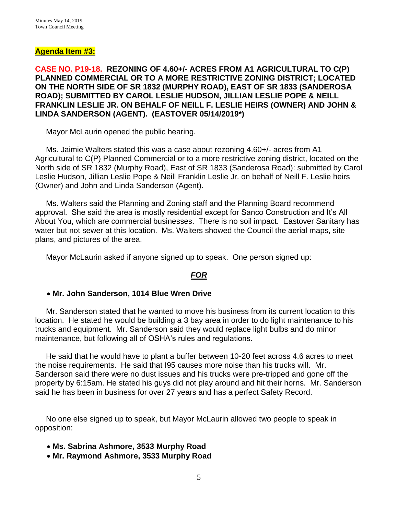## **Agenda Item #3:**

## **CASE NO. P19-18. REZONING OF 4.60+/- ACRES FROM A1 AGRICULTURAL TO C(P) PLANNED COMMERCIAL OR TO A MORE RESTRICTIVE ZONING DISTRICT; LOCATED ON THE NORTH SIDE OF SR 1832 (MURPHY ROAD), EAST OF SR 1833 (SANDEROSA ROAD); SUBMITTED BY CAROL LESLIE HUDSON, JILLIAN LESLIE POPE & NEILL FRANKLIN LESLIE JR. ON BEHALF OF NEILL F. LESLIE HEIRS (OWNER) AND JOHN & LINDA SANDERSON (AGENT). (EASTOVER 05/14/2019\*)**

Mayor McLaurin opened the public hearing.

 Ms. Jaimie Walters stated this was a case about rezoning 4.60+/- acres from A1 Agricultural to C(P) Planned Commercial or to a more restrictive zoning district, located on the North side of SR 1832 (Murphy Road), East of SR 1833 (Sanderosa Road): submitted by Carol Leslie Hudson, Jillian Leslie Pope & Neill Franklin Leslie Jr. on behalf of Neill F. Leslie heirs (Owner) and John and Linda Sanderson (Agent).

 Ms. Walters said the Planning and Zoning staff and the Planning Board recommend approval. She said the area is mostly residential except for Sanco Construction and It's All About You, which are commercial businesses. There is no soil impact. Eastover Sanitary has water but not sewer at this location. Ms. Walters showed the Council the aerial maps, site plans, and pictures of the area.

Mayor McLaurin asked if anyone signed up to speak. One person signed up:

#### *FOR*

#### **Mr. John Sanderson, 1014 Blue Wren Drive**

 Mr. Sanderson stated that he wanted to move his business from its current location to this location. He stated he would be building a 3 bay area in order to do light maintenance to his trucks and equipment. Mr. Sanderson said they would replace light bulbs and do minor maintenance, but following all of OSHA's rules and regulations.

 He said that he would have to plant a buffer between 10-20 feet across 4.6 acres to meet the noise requirements. He said that I95 causes more noise than his trucks will. Mr. Sanderson said there were no dust issues and his trucks were pre-tripped and gone off the property by 6:15am. He stated his guys did not play around and hit their horns. Mr. Sanderson said he has been in business for over 27 years and has a perfect Safety Record.

 No one else signed up to speak, but Mayor McLaurin allowed two people to speak in opposition:

- **Ms. Sabrina Ashmore, 3533 Murphy Road**
- **Mr. Raymond Ashmore, 3533 Murphy Road**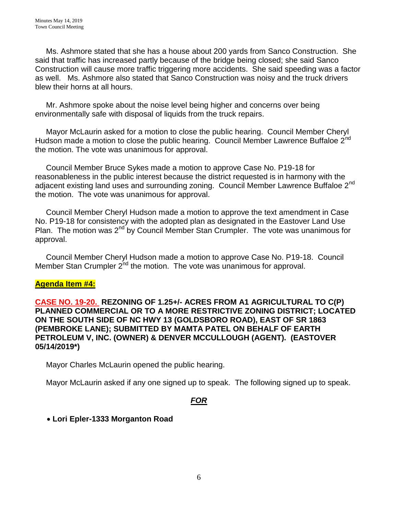Ms. Ashmore stated that she has a house about 200 yards from Sanco Construction. She said that traffic has increased partly because of the bridge being closed; she said Sanco Construction will cause more traffic triggering more accidents. She said speeding was a factor as well. Ms. Ashmore also stated that Sanco Construction was noisy and the truck drivers blew their horns at all hours.

 Mr. Ashmore spoke about the noise level being higher and concerns over being environmentally safe with disposal of liquids from the truck repairs.

 Mayor McLaurin asked for a motion to close the public hearing. Council Member Cheryl Hudson made a motion to close the public hearing. Council Member Lawrence Buffaloe  $2^{nd}$ the motion. The vote was unanimous for approval.

 Council Member Bruce Sykes made a motion to approve Case No. P19-18 for reasonableness in the public interest because the district requested is in harmony with the adjacent existing land uses and surrounding zoning. Council Member Lawrence Buffaloe 2<sup>nd</sup> the motion. The vote was unanimous for approval.

 Council Member Cheryl Hudson made a motion to approve the text amendment in Case No. P19-18 for consistency with the adopted plan as designated in the Eastover Land Use Plan. The motion was 2<sup>nd</sup> by Council Member Stan Crumpler. The vote was unanimous for approval.

 Council Member Cheryl Hudson made a motion to approve Case No. P19-18. Council Member Stan Crumpler 2<sup>nd</sup> the motion. The vote was unanimous for approval.

# **Agenda Item #4:**

**CASE NO. 19-20. REZONING OF 1.25+/- ACRES FROM A1 AGRICULTURAL TO C(P) PLANNED COMMERCIAL OR TO A MORE RESTRICTIVE ZONING DISTRICT; LOCATED ON THE SOUTH SIDE OF NC HWY 13 (GOLDSBORO ROAD), EAST OF SR 1863 (PEMBROKE LANE); SUBMITTED BY MAMTA PATEL ON BEHALF OF EARTH PETROLEUM V, INC. (OWNER) & DENVER MCCULLOUGH (AGENT). (EASTOVER 05/14/2019\*)** 

Mayor Charles McLaurin opened the public hearing.

Mayor McLaurin asked if any one signed up to speak. The following signed up to speak.

# *FOR*

**Lori Epler-1333 Morganton Road**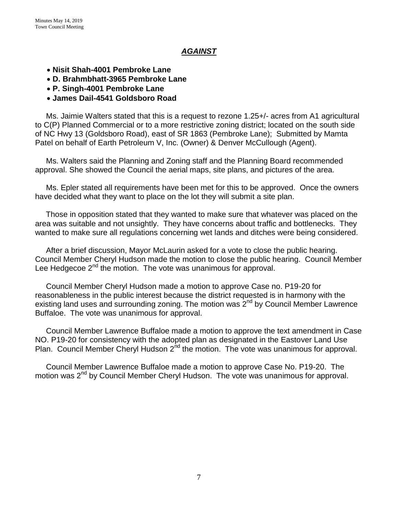# *AGAINST*

- **Nisit Shah-4001 Pembroke Lane**
- **D. Brahmbhatt-3965 Pembroke Lane**
- **P. Singh-4001 Pembroke Lane**
- **James Dail-4541 Goldsboro Road**

 Ms. Jaimie Walters stated that this is a request to rezone 1.25+/- acres from A1 agricultural to C(P) Planned Commercial or to a more restrictive zoning district; located on the south side of NC Hwy 13 (Goldsboro Road), east of SR 1863 (Pembroke Lane); Submitted by Mamta Patel on behalf of Earth Petroleum V, Inc. (Owner) & Denver McCullough (Agent).

 Ms. Walters said the Planning and Zoning staff and the Planning Board recommended approval. She showed the Council the aerial maps, site plans, and pictures of the area.

 Ms. Epler stated all requirements have been met for this to be approved. Once the owners have decided what they want to place on the lot they will submit a site plan.

 Those in opposition stated that they wanted to make sure that whatever was placed on the area was suitable and not unsightly. They have concerns about traffic and bottlenecks. They wanted to make sure all regulations concerning wet lands and ditches were being considered.

 After a brief discussion, Mayor McLaurin asked for a vote to close the public hearing. Council Member Cheryl Hudson made the motion to close the public hearing. Council Member Lee Hedgecoe  $2^{nd}$  the motion. The vote was unanimous for approval.

 Council Member Cheryl Hudson made a motion to approve Case no. P19-20 for reasonableness in the public interest because the district requested is in harmony with the existing land uses and surrounding zoning. The motion was 2<sup>nd</sup> by Council Member Lawrence Buffaloe. The vote was unanimous for approval.

 Council Member Lawrence Buffaloe made a motion to approve the text amendment in Case NO. P19-20 for consistency with the adopted plan as designated in the Eastover Land Use Plan. Council Member Cheryl Hudson  $2^{nd}$  the motion. The vote was unanimous for approval.

 Council Member Lawrence Buffaloe made a motion to approve Case No. P19-20. The motion was 2<sup>nd</sup> by Council Member Cheryl Hudson. The vote was unanimous for approval.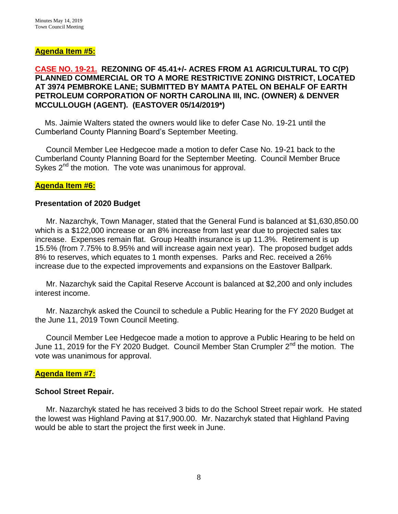## **Agenda Item #5:**

## **CASE NO. 19-21. REZONING OF 45.41+/- ACRES FROM A1 AGRICULTURAL TO C(P) PLANNED COMMERCIAL OR TO A MORE RESTRICTIVE ZONING DISTRICT, LOCATED AT 3974 PEMBROKE LANE; SUBMITTED BY MAMTA PATEL ON BEHALF OF EARTH PETROLEUM CORPORATION OF NORTH CAROLINA III, INC. (OWNER) & DENVER MCCULLOUGH (AGENT). (EASTOVER 05/14/2019\*)**

 Ms. Jaimie Walters stated the owners would like to defer Case No. 19-21 until the Cumberland County Planning Board's September Meeting.

 Council Member Lee Hedgecoe made a motion to defer Case No. 19-21 back to the Cumberland County Planning Board for the September Meeting. Council Member Bruce Sykes  $2^{nd}$  the motion. The vote was unanimous for approval.

#### **Agenda Item #6:**

### **Presentation of 2020 Budget**

 Mr. Nazarchyk, Town Manager, stated that the General Fund is balanced at \$1,630,850.00 which is a \$122,000 increase or an 8% increase from last year due to projected sales tax increase. Expenses remain flat. Group Health insurance is up 11.3%. Retirement is up 15.5% (from 7.75% to 8.95% and will increase again next year). The proposed budget adds 8% to reserves, which equates to 1 month expenses. Parks and Rec. received a 26% increase due to the expected improvements and expansions on the Eastover Ballpark.

 Mr. Nazarchyk said the Capital Reserve Account is balanced at \$2,200 and only includes interest income.

 Mr. Nazarchyk asked the Council to schedule a Public Hearing for the FY 2020 Budget at the June 11, 2019 Town Council Meeting.

 Council Member Lee Hedgecoe made a motion to approve a Public Hearing to be held on June 11, 2019 for the FY 2020 Budget. Council Member Stan Crumpler 2<sup>nd</sup> the motion. The vote was unanimous for approval.

#### **Agenda Item #7:**

#### **School Street Repair.**

Mr. Nazarchyk stated he has received 3 bids to do the School Street repair work. He stated the lowest was Highland Paving at \$17,900.00. Mr. Nazarchyk stated that Highland Paving would be able to start the project the first week in June.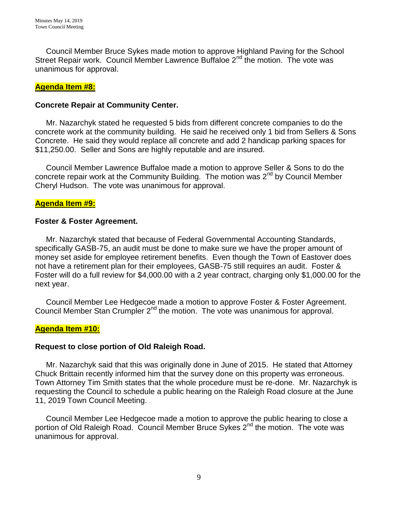Council Member Bruce Sykes made motion to approve Highland Paving for the School Street Repair work. Council Member Lawrence Buffaloe 2<sup>nd</sup> the motion. The vote was unanimous for approval.

## **Agenda Item #8:**

# **Concrete Repair at Community Center.**

 Mr. Nazarchyk stated he requested 5 bids from different concrete companies to do the concrete work at the community building. He said he received only 1 bid from Sellers & Sons Concrete. He said they would replace all concrete and add 2 handicap parking spaces for \$11,250.00. Seller and Sons are highly reputable and are insured.

 Council Member Lawrence Buffaloe made a motion to approve Seller & Sons to do the concrete repair work at the Community Building. The motion was 2<sup>nd</sup> by Council Member Cheryl Hudson. The vote was unanimous for approval.

# **Agenda Item #9:**

# **Foster & Foster Agreement.**

 Mr. Nazarchyk stated that because of Federal Governmental Accounting Standards, specifically GASB-75, an audit must be done to make sure we have the proper amount of money set aside for employee retirement benefits. Even though the Town of Eastover does not have a retirement plan for their employees, GASB-75 still requires an audit. Foster & Foster will do a full review for \$4,000.00 with a 2 year contract, charging only \$1,000.00 for the next year.

 Council Member Lee Hedgecoe made a motion to approve Foster & Foster Agreement. Council Member Stan Crumpler  $2^{nd}$  the motion. The vote was unanimous for approval.

# **Agenda Item #10:**

## **Request to close portion of Old Raleigh Road.**

 Mr. Nazarchyk said that this was originally done in June of 2015. He stated that Attorney Chuck Brittain recently informed him that the survey done on this property was erroneous. Town Attorney Tim Smith states that the whole procedure must be re-done. Mr. Nazarchyk is requesting the Council to schedule a public hearing on the Raleigh Road closure at the June 11, 2019 Town Council Meeting.

 Council Member Lee Hedgecoe made a motion to approve the public hearing to close a portion of Old Raleigh Road. Council Member Bruce Sykes 2<sup>nd</sup> the motion. The vote was unanimous for approval.